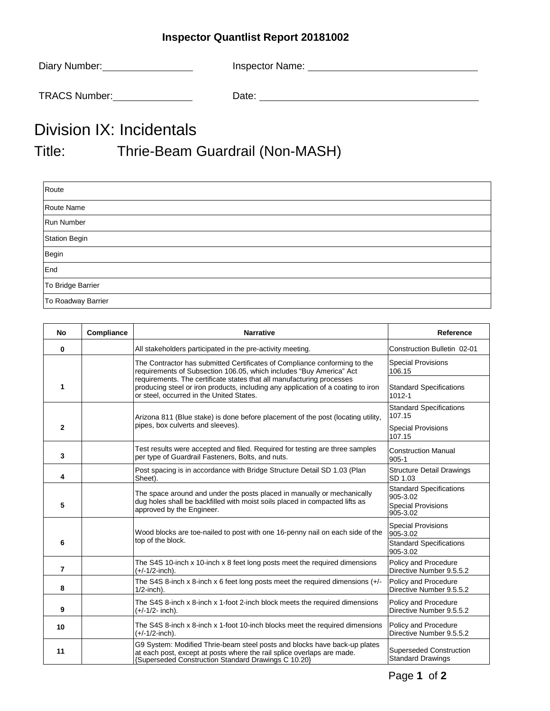## **Inspector Quantlist Report 20181002**

| Diary Number: | Inspector Name: |
|---------------|-----------------|
|               |                 |

| <b>TRACS Number:</b> |  |
|----------------------|--|
|                      |  |

TRACS Numbers: Date: <u>Date: 2000 Numbers: 2000 Numbers: 2000 Numbers: 2000 Numbers: 2000 Numbers: 2000 Numbers: 2000 Numbers: 2000 Numbers: 2000 Numbers: 2000 Numbers: 2000 Numbers: 2000 Numbers: 2000 Numbers: 2000 Numbers</u>

## Division IX: Incidentals

Title: Thrie-Beam Guardrail (Non-MASH)

| Route                |  |
|----------------------|--|
| Route Name           |  |
| Run Number           |  |
| <b>Station Begin</b> |  |
| Begin                |  |
| End                  |  |
| To Bridge Barrier    |  |
| To Roadway Barrier   |  |

| <b>No</b>    | Compliance | <b>Narrative</b>                                                                                                                                                                                           | Reference                                                                           |
|--------------|------------|------------------------------------------------------------------------------------------------------------------------------------------------------------------------------------------------------------|-------------------------------------------------------------------------------------|
| 0            |            | All stakeholders participated in the pre-activity meeting.                                                                                                                                                 | Construction Bulletin 02-01                                                         |
|              |            | The Contractor has submitted Certificates of Compliance conforming to the<br>requirements of Subsection 106.05, which includes "Buy America" Act                                                           | <b>Special Provisions</b><br>106.15                                                 |
| 1            |            | requirements. The certificate states that all manufacturing processes<br>producing steel or iron products, including any application of a coating to iron<br>or steel, occurred in the United States.      | <b>Standard Specifications</b><br>1012-1                                            |
| $\mathbf{2}$ |            | Arizona 811 (Blue stake) is done before placement of the post (locating utility,<br>pipes, box culverts and sleeves).                                                                                      | <b>Standard Specifications</b><br>107.15                                            |
|              |            |                                                                                                                                                                                                            | <b>Special Provisions</b><br>107.15                                                 |
| 3            |            | Test results were accepted and filed. Required for testing are three samples<br>per type of Guardrail Fasteners, Bolts, and nuts.                                                                          | <b>Construction Manual</b><br>$905 - 1$                                             |
| 4            |            | Post spacing is in accordance with Bridge Structure Detail SD 1.03 (Plan<br>Sheet).                                                                                                                        | <b>Structure Detail Drawings</b><br>SD 1.03                                         |
| 5            |            | The space around and under the posts placed in manually or mechanically<br>dug holes shall be backfilled with moist soils placed in compacted lifts as<br>approved by the Engineer.                        | <b>Standard Specifications</b><br>905-3.02<br><b>Special Provisions</b><br>905-3.02 |
| 6            |            | Wood blocks are toe-nailed to post with one 16-penny nail on each side of the<br>top of the block.                                                                                                         | <b>Special Provisions</b><br>905-3.02                                               |
|              |            |                                                                                                                                                                                                            | <b>Standard Specifications</b><br>905-3.02                                          |
| 7            |            | The S4S 10-inch x 10-inch x 8 feet long posts meet the required dimensions<br>(+/-1/2-inch).                                                                                                               | Policy and Procedure<br>Directive Number 9.5.5.2                                    |
| 8            |            | The S4S 8-inch x 8-inch x 6 feet long posts meet the required dimensions (+/-<br>$1/2$ -inch).                                                                                                             | Policy and Procedure<br>Directive Number 9.5.5.2                                    |
| 9            |            | The S4S 8-inch x 8-inch x 1-foot 2-inch block meets the required dimensions<br>(+/-1/2- inch).                                                                                                             | Policy and Procedure<br>Directive Number 9.5.5.2                                    |
| 10           |            | The S4S 8-inch x 8-inch x 1-foot 10-inch blocks meet the required dimensions<br>$(+/-1/2$ -inch).                                                                                                          | Policy and Procedure<br>Directive Number 9.5.5.2                                    |
| 11           |            | G9 System: Modified Thrie-beam steel posts and blocks have back-up plates<br>at each post, except at posts where the rail splice overlaps are made.<br>{Superseded Construction Standard Drawings C 10.20} | <b>Superseded Construction</b><br><b>Standard Drawings</b>                          |